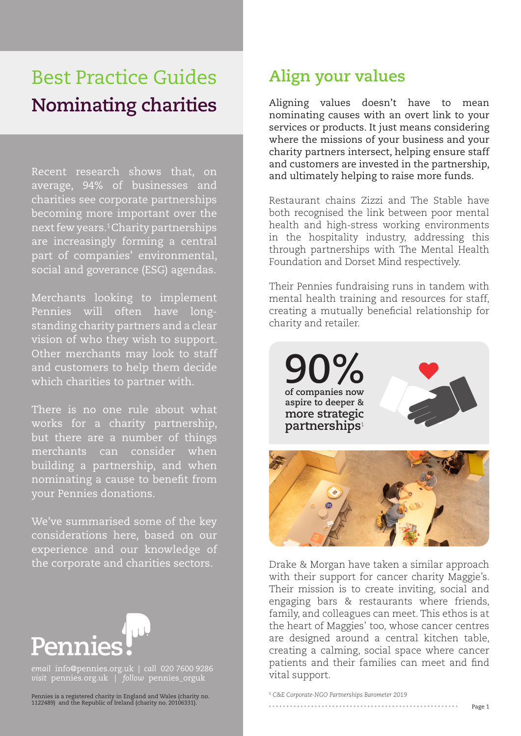# Best Practice Guides **Nominating charities**

Recent research shows that, on average, 94% of businesses and charities see corporate partnerships becoming more important over the next few years.1 Charity partnerships are increasingly forming a central part of companies' environmental, social and goverance (ESG) agendas.

Merchants looking to implement Pennies will often have longstanding charity partners and a clear vision of who they wish to support. Other merchants may look to staff and customers to help them decide which charities to partner with.

There is no one rule about what works for a charity partnership, but there are a number of things merchants can consider when building a partnership, and when nominating a cause to benefit from your Pennies donations.

We've summarised some of the key considerations here, based on our experience and our knowledge of the corporate and charities sectors.



*email* info@pennies.org.uk | *call* 020 7600 9286 *visit* pennies.org.uk | *follow* pennies\_orguk

Pennies is a registered charity in England and Wales (charity no. 1122489) and the Republic of Ireland (charity no. 20106331).

## **Align your values**

Aligning values doesn't have to mean nominating causes with an overt link to your services or products. It just means considering where the missions of your business and your charity partners intersect, helping ensure staff and customers are invested in the partnership, and ultimately helping to raise more funds.

Restaurant chains Zizzi and The Stable have both recognised the link between poor mental health and high-stress working environments in the hospitality industry, addressing this through partnerships with The Mental Health Foundation and Dorset Mind respectively.

Their Pennies fundraising runs in tandem with mental health training and resources for staff, creating a mutually beneficial relationship for charity and retailer.

**90% of companies now aspire to deeper & more strategic partnerships**<sup>1</sup>





Drake & Morgan have taken a similar approach with their support for cancer charity Maggie's. Their mission is to create inviting, social and engaging bars & restaurants where friends, family, and colleagues can meet. This ethos is at the heart of Maggies' too, whose cancer centres are designed around a central kitchen table, creating a calming, social space where cancer patients and their families can meet and find vital support.

<sup>1</sup> *C&E Corporate-NGO Partnerships Barometer 2019*